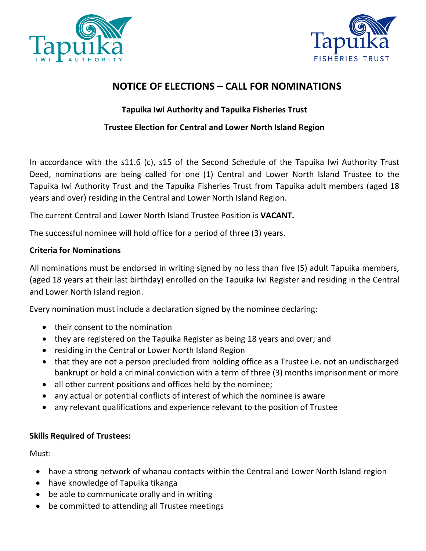



## **NOTICE OF ELECTIONS – CALL FOR NOMINATIONS**

### **Tapuika Iwi Authority and Tapuika Fisheries Trust**

### **Trustee Election for Central and Lower North Island Region**

In accordance with the s11.6 (c), s15 of the Second Schedule of the Tapuika Iwi Authority Trust Deed, nominations are being called for one (1) Central and Lower North Island Trustee to the Tapuika Iwi Authority Trust and the Tapuika Fisheries Trust from Tapuika adult members (aged 18 years and over) residing in the Central and Lower North Island Region.

The current Central and Lower North Island Trustee Position is **VACANT.**

The successful nominee will hold office for a period of three (3) years.

#### **Criteria for Nominations**

All nominations must be endorsed in writing signed by no less than five (5) adult Tapuika members, (aged 18 years at their last birthday) enrolled on the Tapuika Iwi Register and residing in the Central and Lower North Island region.

Every nomination must include a declaration signed by the nominee declaring:

- their consent to the nomination
- they are registered on the Tapuika Register as being 18 years and over; and
- residing in the Central or Lower North Island Region
- that they are not a person precluded from holding office as a Trustee i.e. not an undischarged bankrupt or hold a criminal conviction with a term of three (3) months imprisonment or more
- all other current positions and offices held by the nominee;
- any actual or potential conflicts of interest of which the nominee is aware
- any relevant qualifications and experience relevant to the position of Trustee

### **Skills Required of Trustees:**

Must:

- have a strong network of whanau contacts within the Central and Lower North Island region
- have knowledge of Tapuika tikanga
- be able to communicate orally and in writing
- be committed to attending all Trustee meetings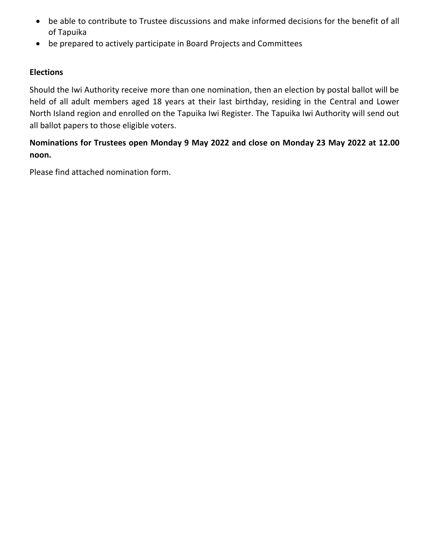- be able to contribute to Trustee discussions and make informed decisions for the benefit of all of Tapuika
- be prepared to actively participate in Board Projects and Committees

#### **Elections**

Should the Iwi Authority receive more than one nomination, then an election by postal ballot will be held of all adult members aged 18 years at their last birthday, residing in the Central and Lower North Island region and enrolled on the Tapuika Iwi Register. The Tapuika Iwi Authority will send out all ballot papers to those eligible voters.

### **Nominations for Trustees open Monday 9 May 2022 and close on Monday 23 May 2022 at 12.00 noon.**

Please find attached nomination form.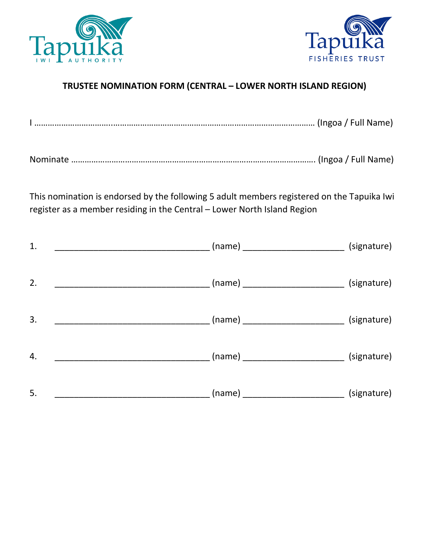



## **TRUSTEE NOMINATION FORM (CENTRAL – LOWER NORTH ISLAND REGION)**

|--|--|--|

This nomination is endorsed by the following 5 adult members registered on the Tapuika Iwi register as a member residing in the Central – Lower North Island Region

| 1.                                                                     |                                                     | (signature)                                        |
|------------------------------------------------------------------------|-----------------------------------------------------|----------------------------------------------------|
| 2.                                                                     |                                                     |                                                    |
| 3.                                                                     | ___ (name) _________________________ (signature)    |                                                    |
| 4.<br><u> 1980 - Johann Stein, mars an t-Amerikaansk kommunister (</u> | ___ (name) ____________________________ (signature) |                                                    |
| 5.                                                                     |                                                     | (name) _______________________________ (signature) |